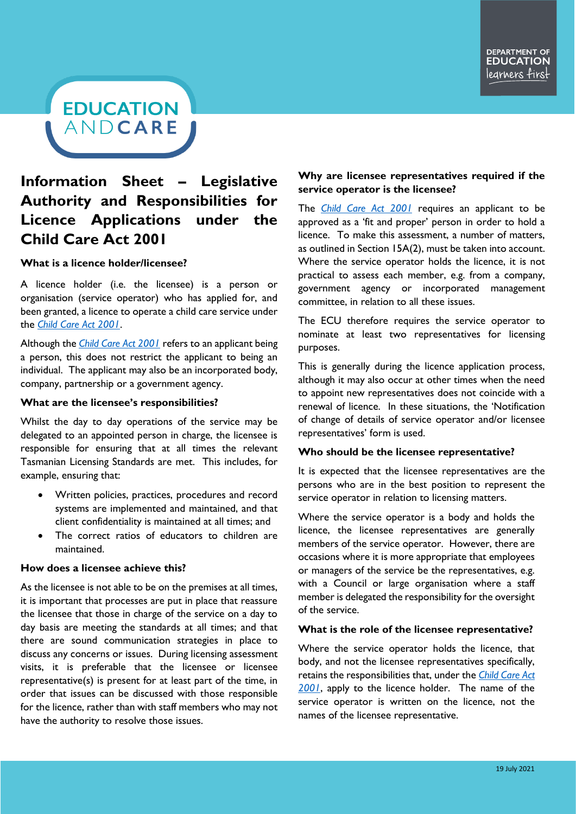# **EDUCATION** ANDCARE

# **Information Sheet – Legislative Authority and Responsibilities for Licence Applications under the Child Care Act 2001**

### **What is a licence holder/licensee?**

A licence holder (i.e. the licensee) is a person or organisation (service operator) who has applied for, and been granted, a licence to operate a child care service under the *[Child Care Act 2001](https://www.legislation.tas.gov.au/view/html/inforce/current/act-2001-062)*.

Although the *[Child Care Act 2001](https://www.legislation.tas.gov.au/view/html/inforce/current/act-2001-062)* refers to an applicant being a person, this does not restrict the applicant to being an individual. The applicant may also be an incorporated body, company, partnership or a government agency.

#### **What are the licensee's responsibilities?**

Whilst the day to day operations of the service may be delegated to an appointed person in charge, the licensee is responsible for ensuring that at all times the relevant Tasmanian Licensing Standards are met. This includes, for example, ensuring that:

- Written policies, practices, procedures and record systems are implemented and maintained, and that client confidentiality is maintained at all times; and
- The correct ratios of educators to children are maintained.

### **How does a licensee achieve this?**

As the licensee is not able to be on the premises at all times, it is important that processes are put in place that reassure the licensee that those in charge of the service on a day to day basis are meeting the standards at all times; and that there are sound communication strategies in place to discuss any concerns or issues. During licensing assessment visits, it is preferable that the licensee or licensee representative(s) is present for at least part of the time, in order that issues can be discussed with those responsible for the licence, rather than with staff members who may not have the authority to resolve those issues.

# **Why are licensee representatives required if the service operator is the licensee?**

The *[Child Care Act 2001](https://www.legislation.tas.gov.au/view/html/inforce/current/act-2001-062)* requires an applicant to be approved as a 'fit and proper' person in order to hold a licence. To make this assessment, a number of matters, as outlined in Section 15A(2), must be taken into account. Where the service operator holds the licence, it is not practical to assess each member, e.g. from a company, government agency or incorporated management committee, in relation to all these issues.

The ECU therefore requires the service operator to nominate at least two representatives for licensing purposes.

This is generally during the licence application process, although it may also occur at other times when the need to appoint new representatives does not coincide with a renewal of licence. In these situations, the 'Notification of change of details of service operator and/or licensee representatives' form is used.

#### **Who should be the licensee representative?**

It is expected that the licensee representatives are the persons who are in the best position to represent the service operator in relation to licensing matters.

Where the service operator is a body and holds the licence, the licensee representatives are generally members of the service operator. However, there are occasions where it is more appropriate that employees or managers of the service be the representatives, e.g. with a Council or large organisation where a staff member is delegated the responsibility for the oversight of the service.

#### **What is the role of the licensee representative?**

Where the service operator holds the licence, that body, and not the licensee representatives specifically, retains the responsibilities that, under the *[Child Care Act](https://www.legislation.tas.gov.au/view/html/inforce/current/act-2001-062)  [2001](https://www.legislation.tas.gov.au/view/html/inforce/current/act-2001-062)*, apply to the licence holder. The name of the service operator is written on the licence, not the names of the licensee representative.